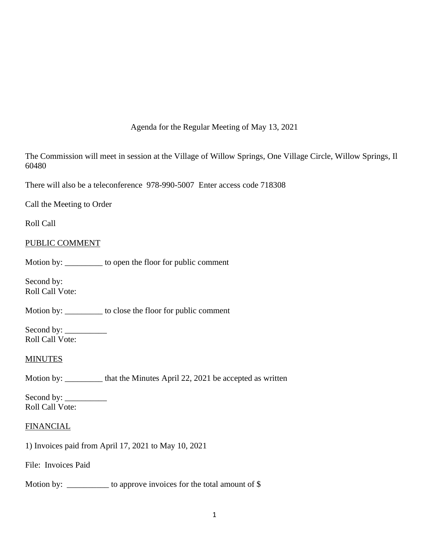### Agenda for the Regular Meeting of May 13, 2021

The Commission will meet in session at the Village of Willow Springs, One Village Circle, Willow Springs, Il 60480

There will also be a teleconference 978-990-5007 Enter access code 718308

Call the Meeting to Order

Roll Call

### PUBLIC COMMENT

Motion by: \_\_\_\_\_\_\_\_\_ to open the floor for public comment

Second by: Roll Call Vote:

Motion by: \_\_\_\_\_\_\_\_\_ to close the floor for public comment

Second by: \_\_\_\_\_\_\_\_\_\_ Roll Call Vote:

### **MINUTES**

Motion by: \_\_\_\_\_\_\_\_\_ that the Minutes April 22, 2021 be accepted as written

Second by: \_\_\_\_\_\_\_\_\_\_ Roll Call Vote:

### **FINANCIAL**

1) Invoices paid from April 17, 2021 to May 10, 2021

File: Invoices Paid

Motion by: \_\_\_\_\_\_\_\_\_\_\_ to approve invoices for the total amount of \$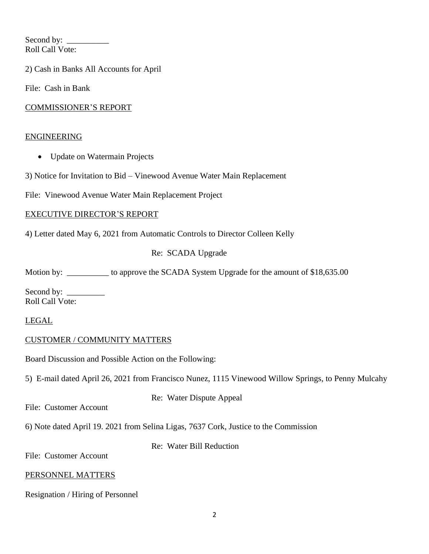Second by: Roll Call Vote:

2) Cash in Banks All Accounts for April

File: Cash in Bank

### COMMISSIONER'S REPORT

### ENGINEERING

- Update on Watermain Projects
- 3) Notice for Invitation to Bid Vinewood Avenue Water Main Replacement

File: Vinewood Avenue Water Main Replacement Project

### EXECUTIVE DIRECTOR'S REPORT

4) Letter dated May 6, 2021 from Automatic Controls to Director Colleen Kelly

# Re: SCADA Upgrade

Motion by: \_\_\_\_\_\_\_\_\_\_\_ to approve the SCADA System Upgrade for the amount of \$18,635.00

Second by: \_\_\_\_\_\_\_\_\_ Roll Call Vote:

# LEGAL

# CUSTOMER / COMMUNITY MATTERS

Board Discussion and Possible Action on the Following:

5) E-mail dated April 26, 2021 from Francisco Nunez, 1115 Vinewood Willow Springs, to Penny Mulcahy

File: Customer Account

Re: Water Dispute Appeal

6) Note dated April 19. 2021 from Selina Ligas, 7637 Cork, Justice to the Commission

Re: Water Bill Reduction

File: Customer Account

### PERSONNEL MATTERS

Resignation / Hiring of Personnel